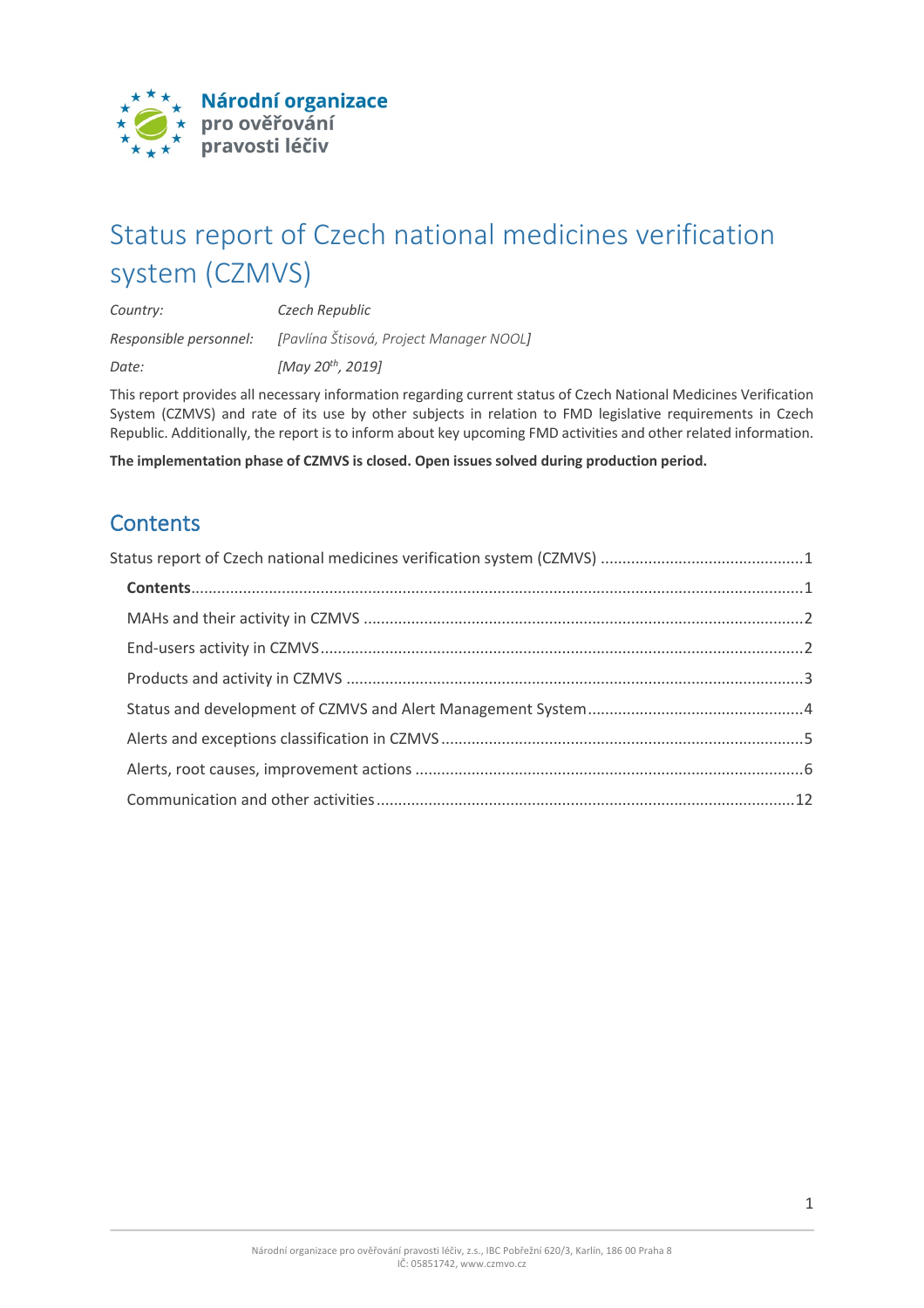

# Status report of Czech national medicines verification system (CZMVS)

*Country: Czech Republic Responsible personnel: [Pavlína Štisová, Project Manager NOOL] Date: [May 20th, 2019]*

This report provides all necessary information regarding current status of Czech National Medicines Verification System (CZMVS) and rate of its use by other subjects in relation to FMD legislative requirements in Czech Republic. Additionally, the report is to inform about key upcoming FMD activities and other related information.

**The implementation phase of CZMVS is closed. Open issues solved during production period.**

## **Contents**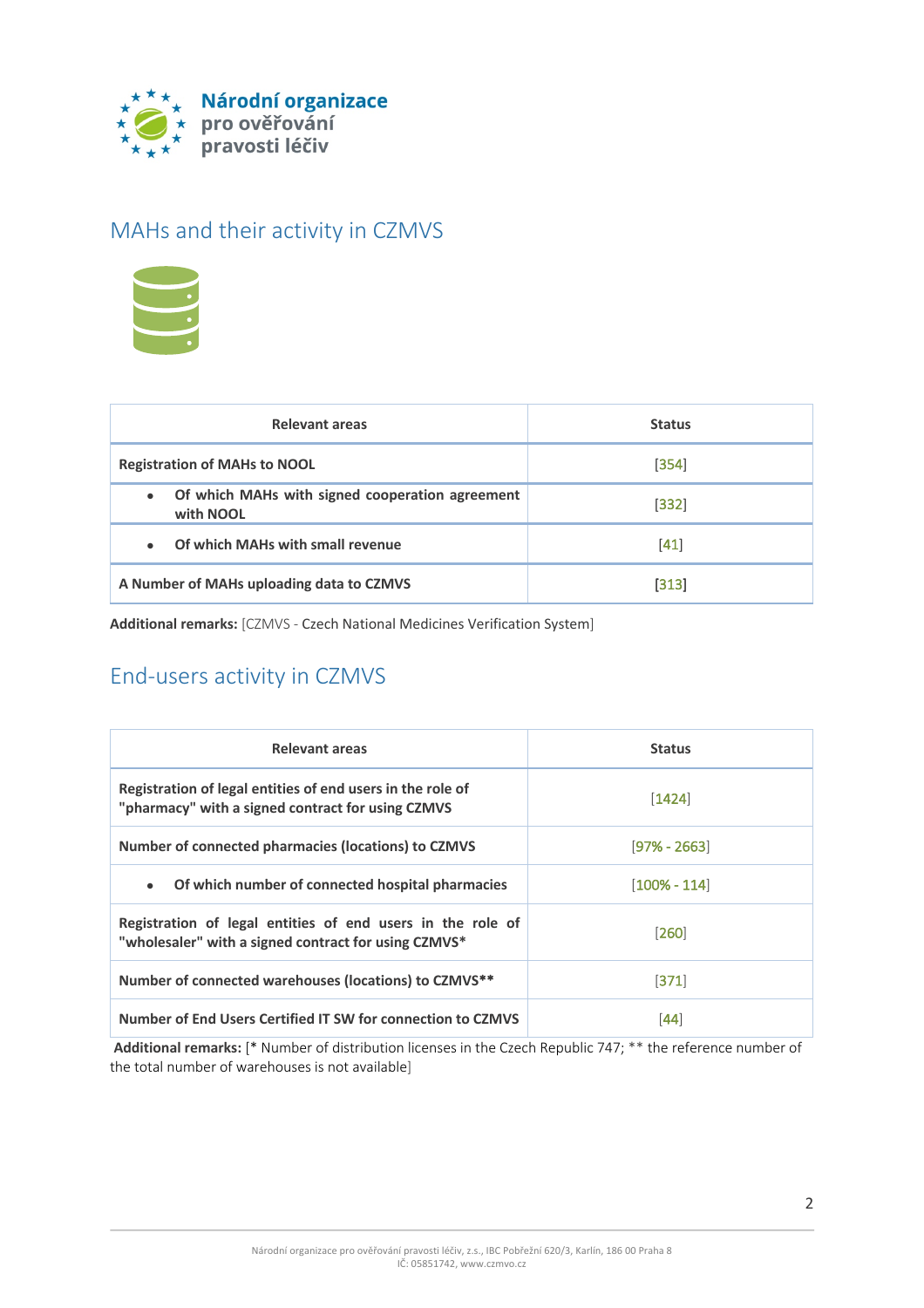

### MAHs and their activity in CZMVS



| Relevant areas                                                            | <b>Status</b> |
|---------------------------------------------------------------------------|---------------|
| <b>Registration of MAHs to NOOL</b>                                       | [354]         |
| Of which MAHs with signed cooperation agreement<br>$\bullet$<br>with NOOL | $[332]$       |
| Of which MAHs with small revenue<br>$\bullet$                             | [41]          |
| A Number of MAHs uploading data to CZMVS                                  | [313]         |

**Additional remarks:** [CZMVS - Czech National Medicines Verification System]

# End-users activity in CZMVS

| Relevant areas                                                                                                     | <b>Status</b>  |
|--------------------------------------------------------------------------------------------------------------------|----------------|
| Registration of legal entities of end users in the role of<br>"pharmacy" with a signed contract for using CZMVS    | $[1424]$       |
| <b>Number of connected pharmacies (locations) to CZMVS</b>                                                         | $[97% - 2663]$ |
| Of which number of connected hospital pharmacies<br>$\bullet$                                                      | [100% - 114]   |
| Registration of legal entities of end users in the role of<br>"wholesaler" with a signed contract for using CZMVS* | [260]          |
| Number of connected warehouses (locations) to CZMVS**                                                              | [371]          |
| Number of End Users Certified IT SW for connection to CZMVS                                                        | [44]           |

**Additional remarks:** [\* Number of distribution licenses in the Czech Republic 747; \*\* the reference number of the total number of warehouses is not available]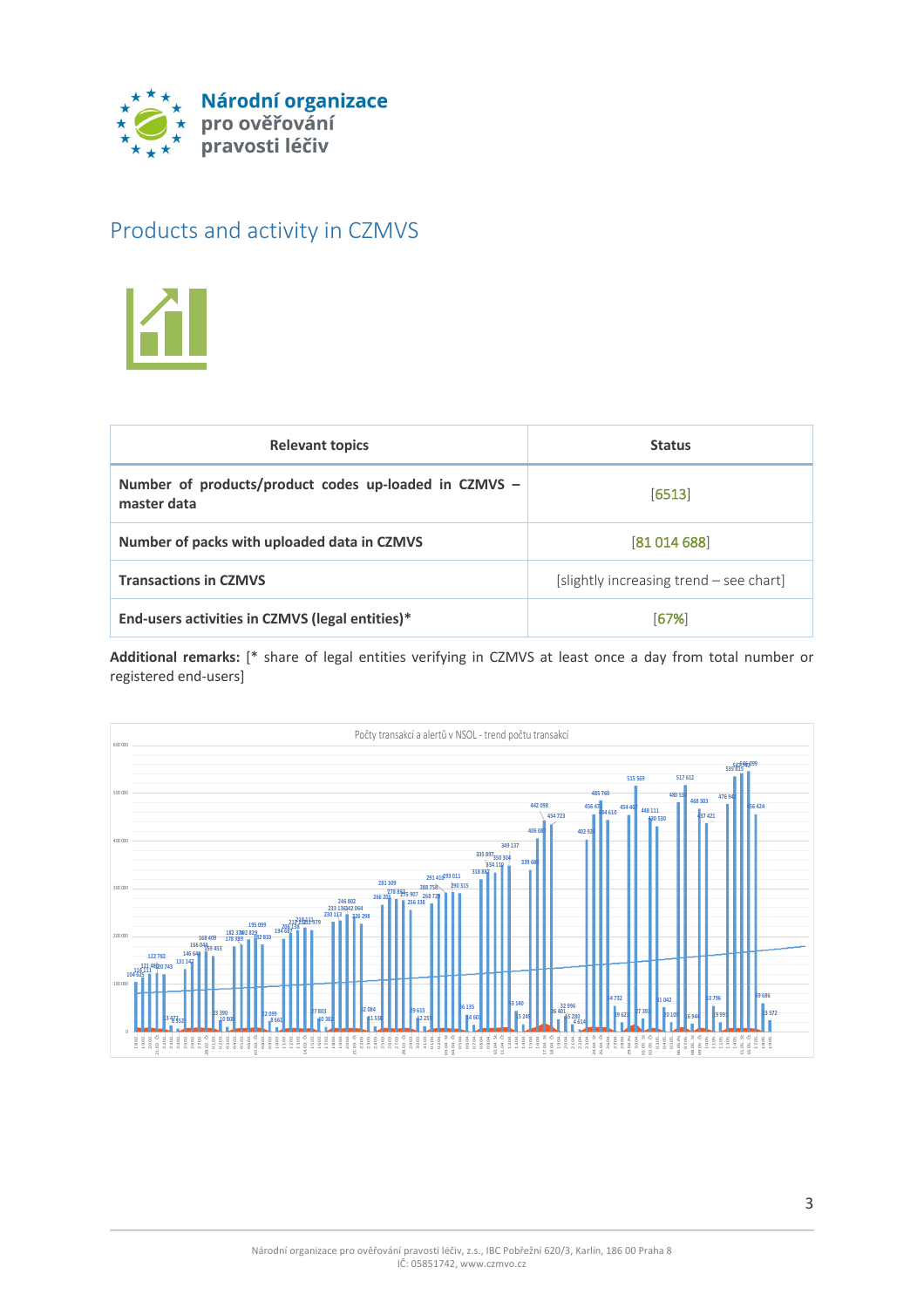

### Products and activity in CZMVS



| <b>Relevant topics</b>                                               | <b>Status</b>                           |
|----------------------------------------------------------------------|-----------------------------------------|
| Number of products/product codes up-loaded in CZMVS -<br>master data | [6513]                                  |
| Number of packs with uploaded data in CZMVS                          | [81 014 688]                            |
| <b>Transactions in CZMVS</b>                                         | [slightly increasing trend – see chart] |
| End-users activities in CZMVS (legal entities)*                      | [67%]                                   |

**Additional remarks:** [\* share of legal entities verifying in CZMVS at least once a day from total number or registered end-users]

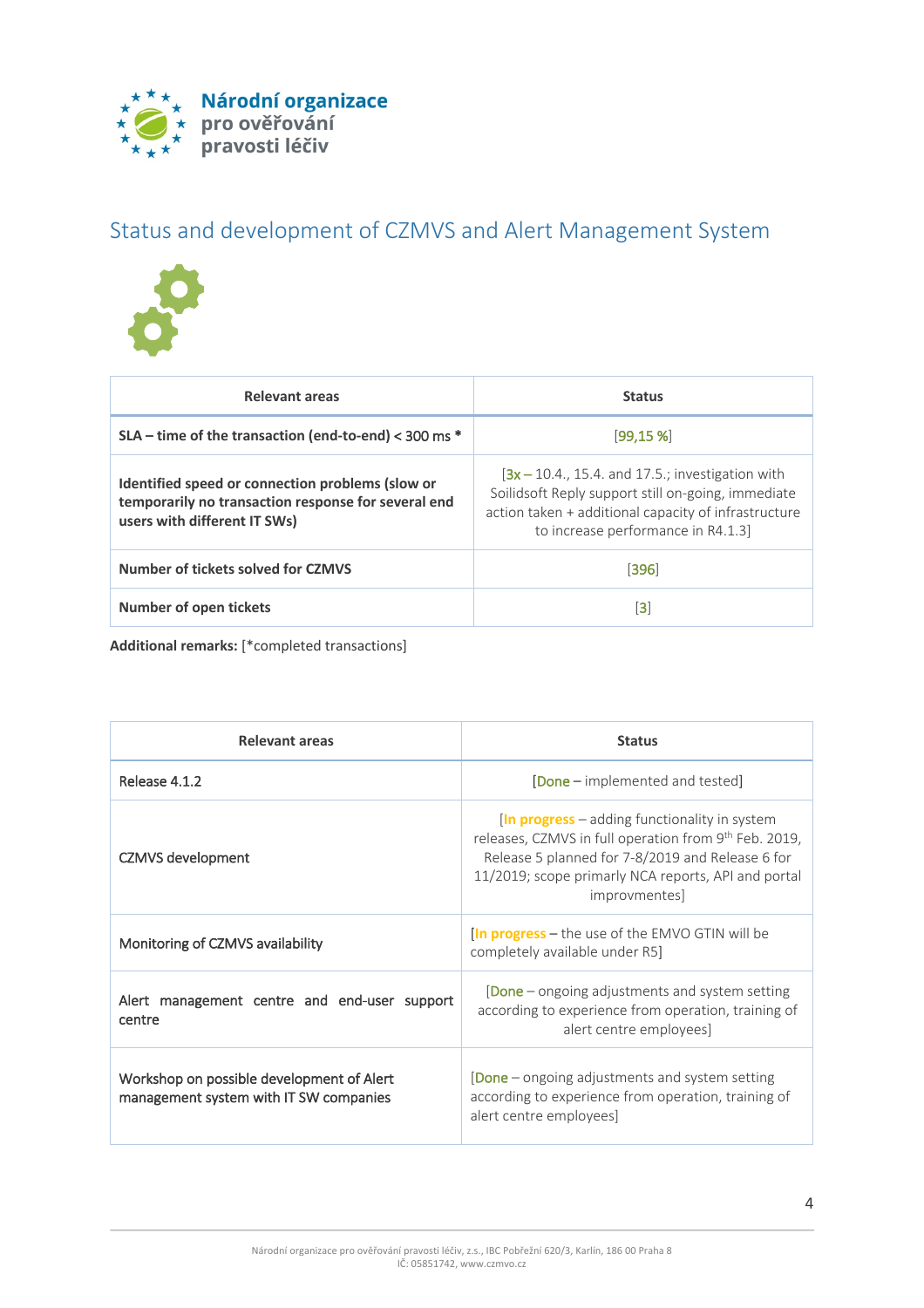

# Status and development of CZMVS and Alert Management System



| Relevant areas                                                                                                                          | <b>Status</b>                                                                                                                                                                                          |
|-----------------------------------------------------------------------------------------------------------------------------------------|--------------------------------------------------------------------------------------------------------------------------------------------------------------------------------------------------------|
| SLA - time of the transaction (end-to-end) < 300 ms *                                                                                   | [99.15%]                                                                                                                                                                                               |
| Identified speed or connection problems (slow or<br>temporarily no transaction response for several end<br>users with different IT SWs) | $[3x - 10.4, 15.4, and 17.5.$ ; investigation with<br>Soilidsoft Reply support still on-going, immediate<br>action taken + additional capacity of infrastructure<br>to increase performance in R4.1.3] |
| Number of tickets solved for CZMVS                                                                                                      | [396]                                                                                                                                                                                                  |
| <b>Number of open tickets</b>                                                                                                           | [3]                                                                                                                                                                                                    |

**Additional remarks:** [\*completed transactions]

| Relevant areas                                                                      | <b>Status</b>                                                                                                                                                                                                                                                                                                                                           |
|-------------------------------------------------------------------------------------|---------------------------------------------------------------------------------------------------------------------------------------------------------------------------------------------------------------------------------------------------------------------------------------------------------------------------------------------------------|
| Release 4.1.2                                                                       | <b>[Done</b> – implemented and tested]                                                                                                                                                                                                                                                                                                                  |
| <b>CZMVS</b> development                                                            | $\left  \ln \frac{m}{m} \right $ and $\left  \ln \frac{m}{m} \right $ and $\left  \ln \frac{m}{m} \right $ and $\left  \ln \frac{m}{m} \right $<br>releases, CZMVS in full operation from 9 <sup>th</sup> Feb. 2019,<br>Release 5 planned for 7-8/2019 and Release 6 for<br>11/2019; scope primarly NCA reports, API and portal<br><i>improvmentes]</i> |
| Monitoring of CZMVS availability                                                    | <b>In progress</b> – the use of the EMVO GTIN will be<br>completely available under R5]                                                                                                                                                                                                                                                                 |
| Alert management centre and end-user support<br>centre                              | [Done - ongoing adjustments and system setting<br>according to experience from operation, training of<br>alert centre employees]                                                                                                                                                                                                                        |
| Workshop on possible development of Alert<br>management system with IT SW companies | <b>[Done</b> – ongoing adjustments and system setting<br>according to experience from operation, training of<br>alert centre employees]                                                                                                                                                                                                                 |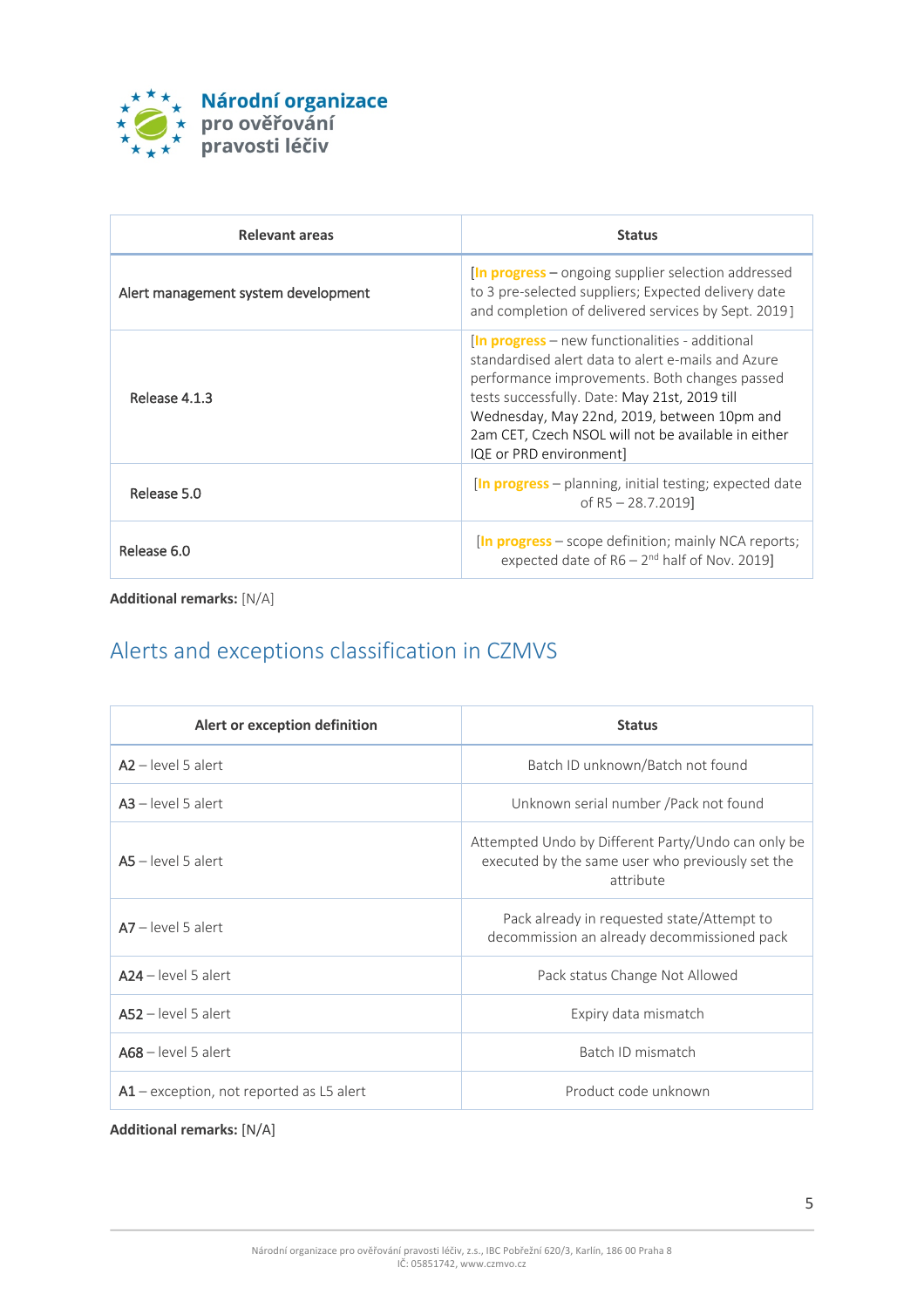

| Relevant areas                      | <b>Status</b>                                                                                                                                                                                                                                                                                                                                 |
|-------------------------------------|-----------------------------------------------------------------------------------------------------------------------------------------------------------------------------------------------------------------------------------------------------------------------------------------------------------------------------------------------|
| Alert management system development | <b>In progress</b> – ongoing supplier selection addressed<br>to 3 pre-selected suppliers; Expected delivery date<br>and completion of delivered services by Sept. 2019]                                                                                                                                                                       |
| Release 4.1.3                       | <b>In progress</b> – new functionalities - additional<br>standardised alert data to alert e-mails and Azure<br>performance improvements. Both changes passed<br>tests successfully. Date: May 21st, 2019 till<br>Wednesday, May 22nd, 2019, between 10pm and<br>2am CET, Czech NSOL will not be available in either<br>IQE or PRD environment |
| Release 5.0                         | <b>In progress</b> – planning, initial testing; expected date<br>of R5 $-$ 28.7.2019]                                                                                                                                                                                                                                                         |
| Release 6.0                         | <b>In progress</b> – scope definition; mainly NCA reports;<br>expected date of $R6 - 2^{nd}$ half of Nov. 2019]                                                                                                                                                                                                                               |

**Additional remarks:** [N/A]

# Alerts and exceptions classification in CZMVS

| Alert or exception definition              | <b>Status</b>                                                                                                       |
|--------------------------------------------|---------------------------------------------------------------------------------------------------------------------|
| $A2 - level 5$ alert                       | Batch ID unknown/Batch not found                                                                                    |
| $A3 - level 5$ alert                       | Unknown serial number / Pack not found                                                                              |
| $AS$ – level 5 alert                       | Attempted Undo by Different Party/Undo can only be<br>executed by the same user who previously set the<br>attribute |
| $\mathsf{A}7$ – level 5 alert              | Pack already in requested state/Attempt to<br>decommission an already decommissioned pack                           |
| $A24 - level 5$ alert                      | Pack status Change Not Allowed                                                                                      |
| $AS2$ – level 5 alert                      | Expiry data mismatch                                                                                                |
| $A68$ – level 5 alert                      | Batch ID mismatch                                                                                                   |
| $A1$ – exception, not reported as L5 alert | Product code unknown                                                                                                |

**Additional remarks:** [N/A]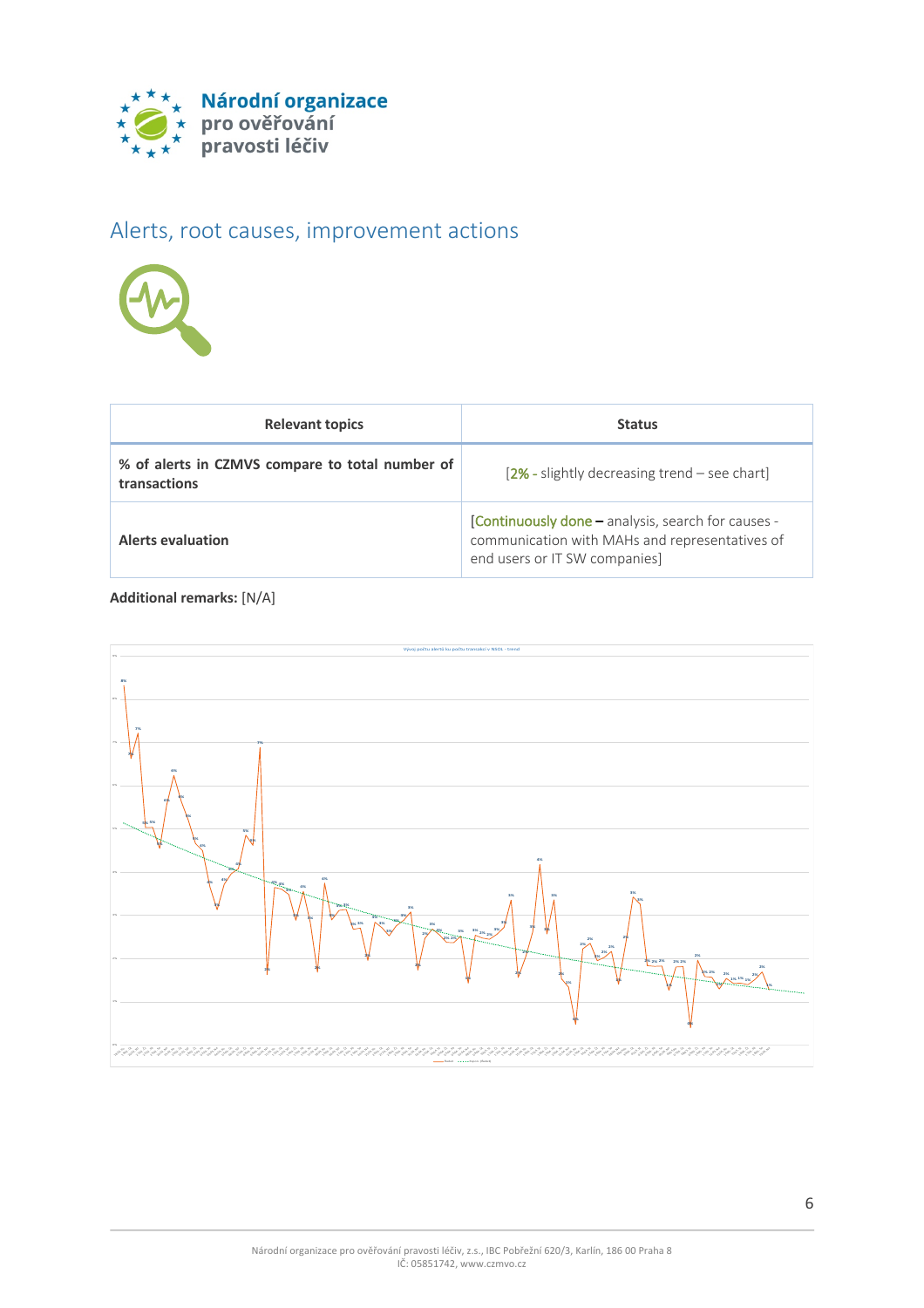

# Alerts, root causes, improvement actions



| <b>Relevant topics</b>                                          | <b>Status</b>                                                                                                                         |
|-----------------------------------------------------------------|---------------------------------------------------------------------------------------------------------------------------------------|
| % of alerts in CZMVS compare to total number of<br>transactions | $[2% - slightly decreasing trend - see chart]$                                                                                        |
| <b>Alerts evaluation</b>                                        | [Continuously done - analysis, search for causes -<br>communication with MAHs and representatives of<br>end users or IT SW companies] |

**Additional remarks:** [N/A]

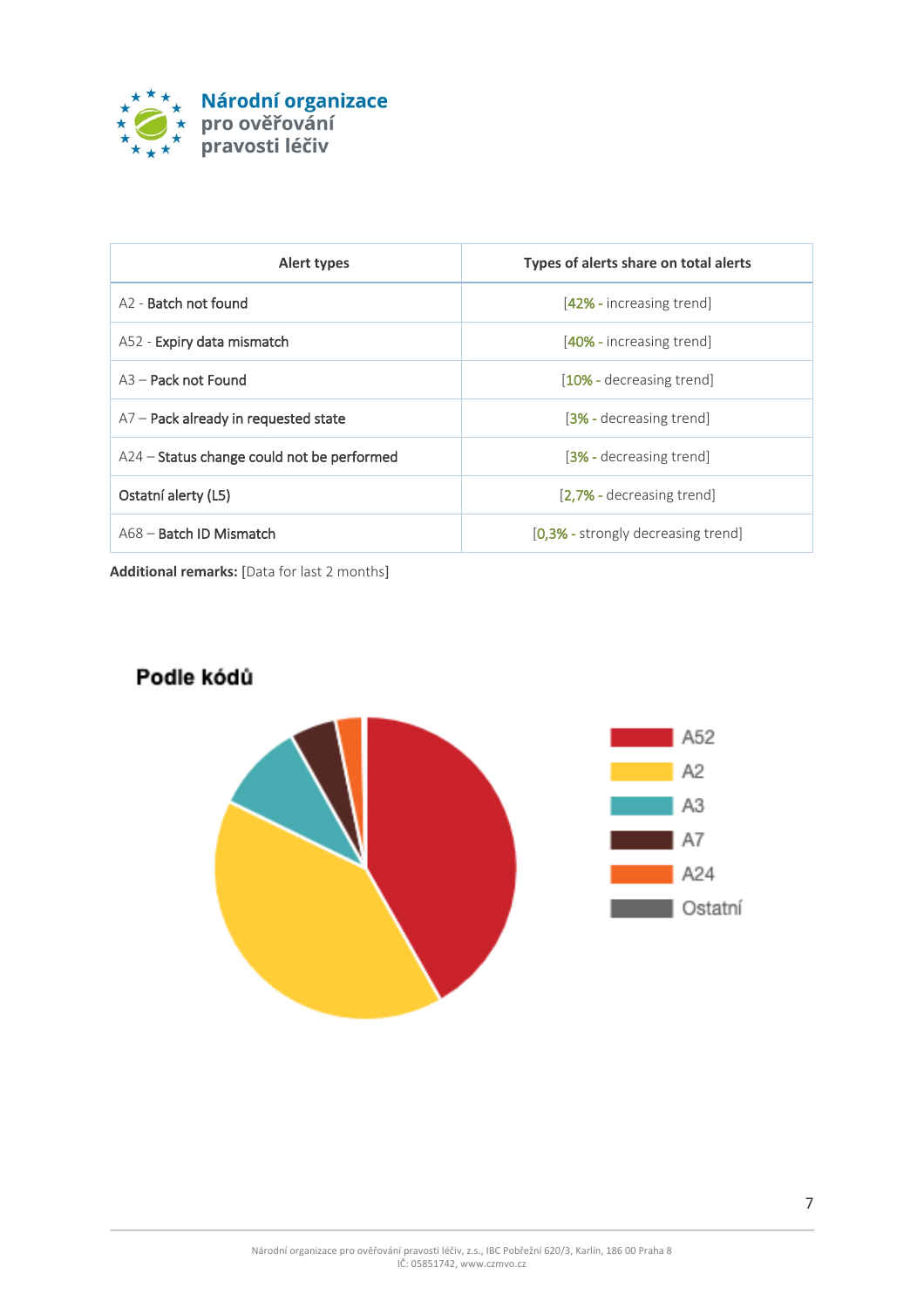

| Alert types                                | Types of alerts share on total alerts |
|--------------------------------------------|---------------------------------------|
| A <sub>2</sub> - Batch not found           | [42% - increasing trend]              |
| A52 - Expiry data mismatch                 | [40% - increasing trend]              |
| $A3 -$ Pack not Found                      | [10% - decreasing trend]              |
| $A7$ – Pack already in requested state     | [3% - decreasing trend]               |
| A24 - Status change could not be performed | [3% - decreasing trend]               |
| Ostatní alerty (L5)                        | [2.7% - decreasing trend]             |
| A68 - Batch ID Mismatch                    | [0,3% - strongly decreasing trend]    |

**Additional remarks:** [Data for last 2 months]

#### Podle kódů

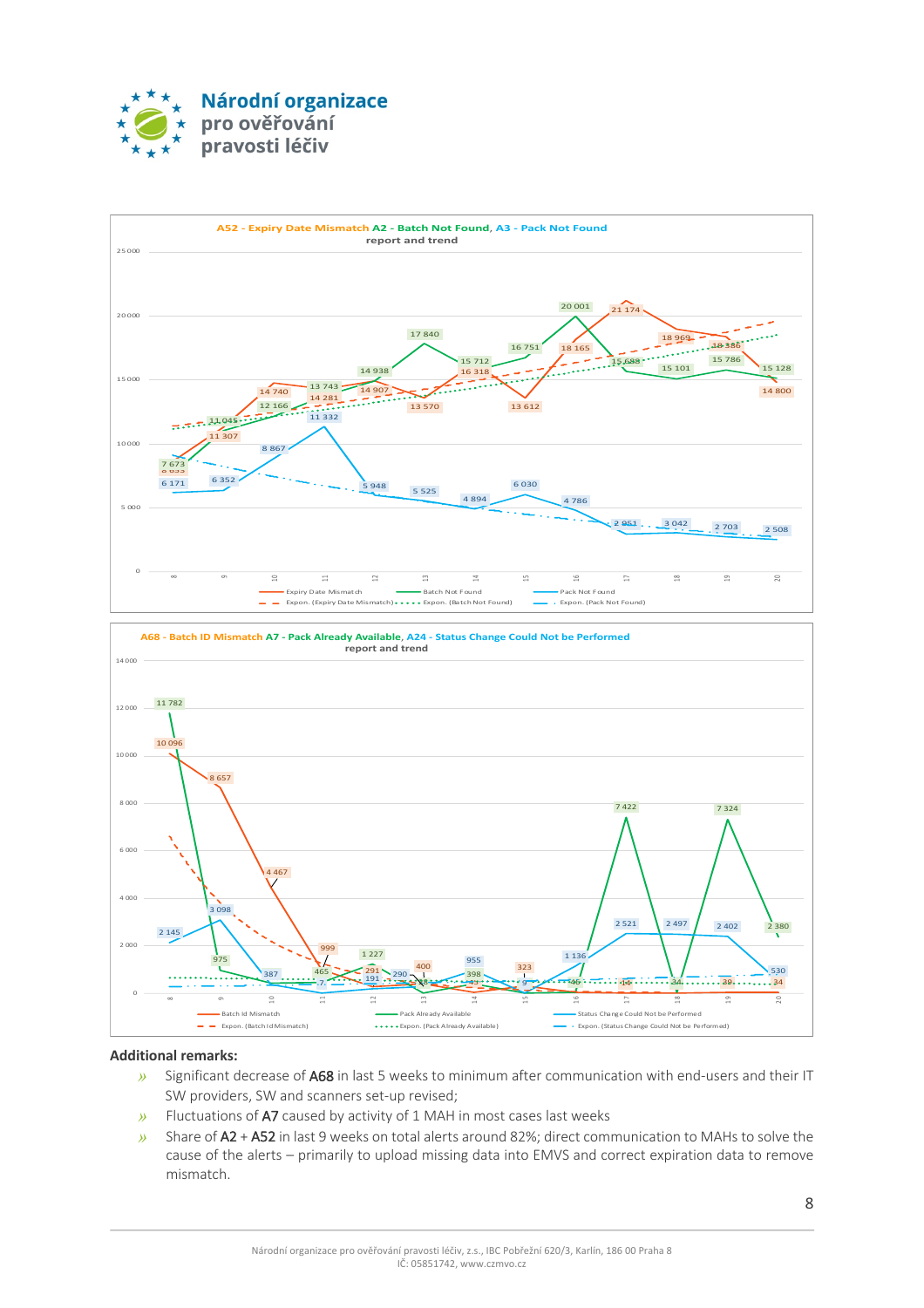





#### **Additional remarks:**

- *»* Significant decrease of A68 in last 5 weeks to minimum after communication with end-users and their IT SW providers, SW and scanners set-up revised;
- *»* Fluctuations of A7 caused by activity of 1 MAH in most cases last weeks
- *»* Share of A2 + A52 in last 9 weeks on total alerts around 82%; direct communication to MAHs to solve the cause of the alerts – primarily to upload missing data into EMVS and correct expiration data to remove mismatch.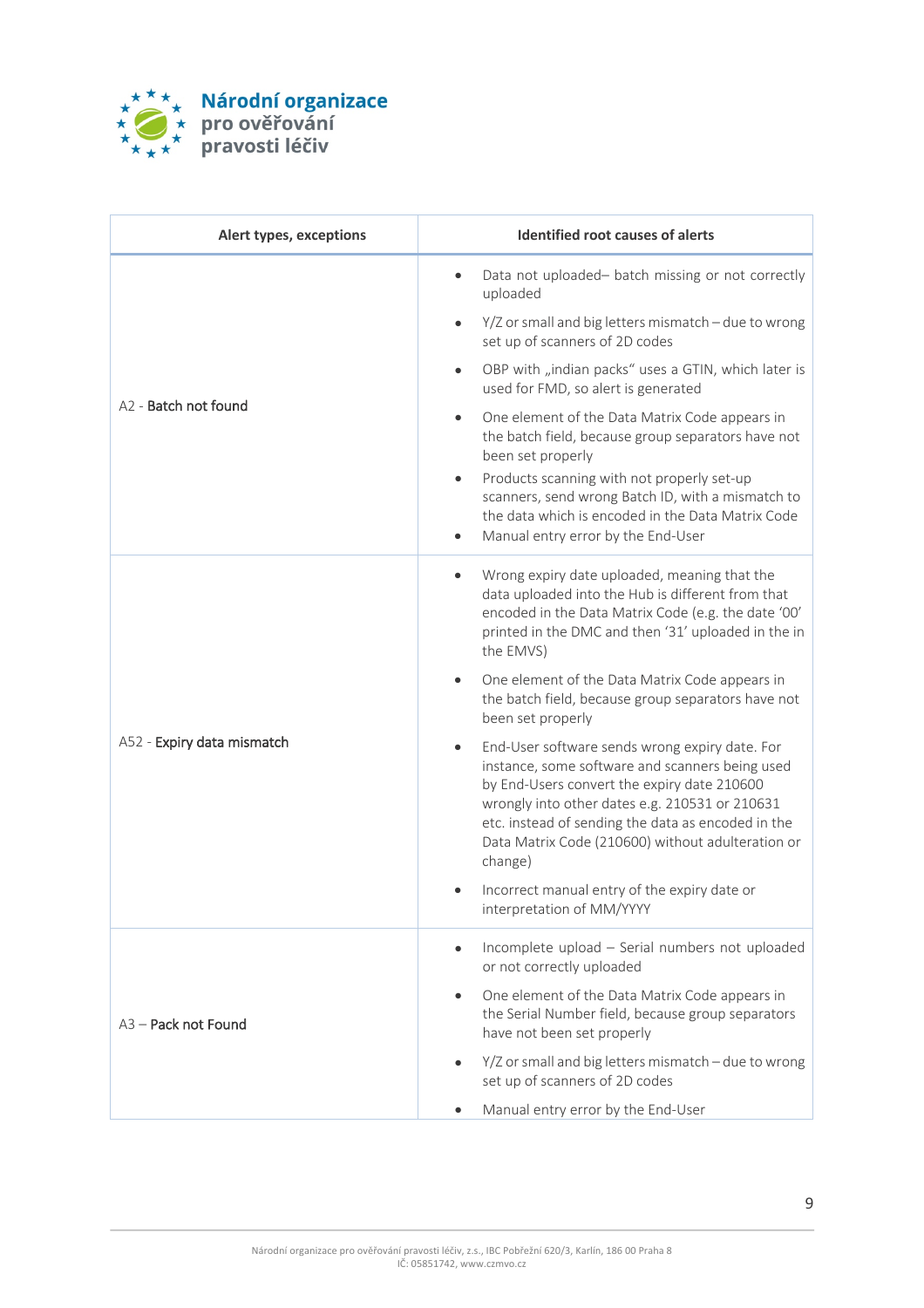

| Alert types, exceptions    | <b>Identified root causes of alerts</b>                                                                                                                                                                                                                                                                                  |
|----------------------------|--------------------------------------------------------------------------------------------------------------------------------------------------------------------------------------------------------------------------------------------------------------------------------------------------------------------------|
| A2 - Batch not found       | Data not uploaded- batch missing or not correctly<br>$\bullet$<br>uploaded                                                                                                                                                                                                                                               |
|                            | Y/Z or small and big letters mismatch - due to wrong<br>$\bullet$<br>set up of scanners of 2D codes                                                                                                                                                                                                                      |
|                            | OBP with "indian packs" uses a GTIN, which later is<br>$\bullet$<br>used for FMD, so alert is generated                                                                                                                                                                                                                  |
|                            | One element of the Data Matrix Code appears in<br>$\bullet$<br>the batch field, because group separators have not<br>been set properly                                                                                                                                                                                   |
|                            | Products scanning with not properly set-up<br>scanners, send wrong Batch ID, with a mismatch to<br>the data which is encoded in the Data Matrix Code<br>Manual entry error by the End-User<br>$\bullet$                                                                                                                  |
| A52 - Expiry data mismatch | Wrong expiry date uploaded, meaning that the<br>$\bullet$<br>data uploaded into the Hub is different from that<br>encoded in the Data Matrix Code (e.g. the date '00'<br>printed in the DMC and then '31' uploaded in the in<br>the EMVS)                                                                                |
|                            | One element of the Data Matrix Code appears in<br>the batch field, because group separators have not<br>been set properly                                                                                                                                                                                                |
|                            | End-User software sends wrong expiry date. For<br>instance, some software and scanners being used<br>by End-Users convert the expiry date 210600<br>wrongly into other dates e.g. 210531 or 210631<br>etc. instead of sending the data as encoded in the<br>Data Matrix Code (210600) without adulteration or<br>change) |
|                            | Incorrect manual entry of the expiry date or<br>interpretation of MM/YYYY                                                                                                                                                                                                                                                |
| A3 - Pack not Found        | Incomplete upload - Serial numbers not uploaded<br>$\bullet$<br>or not correctly uploaded                                                                                                                                                                                                                                |
|                            | One element of the Data Matrix Code appears in<br>$\bullet$<br>the Serial Number field, because group separators<br>have not been set properly                                                                                                                                                                           |
|                            | Y/Z or small and big letters mismatch - due to wrong<br>set up of scanners of 2D codes                                                                                                                                                                                                                                   |
|                            | Manual entry error by the End-User<br>$\bullet$                                                                                                                                                                                                                                                                          |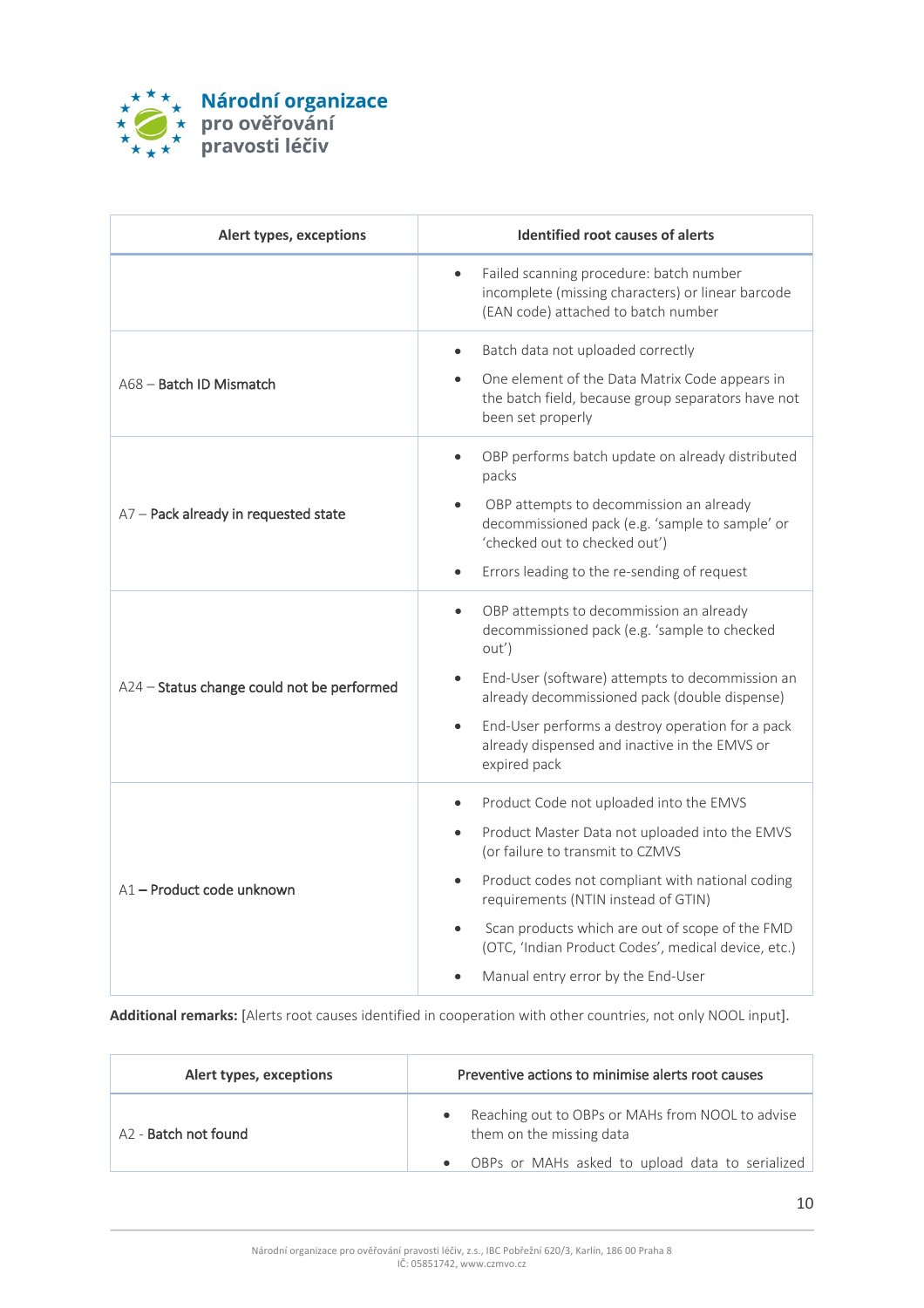

| Alert types, exceptions                    | <b>Identified root causes of alerts</b>                                                                                                                                                                                                                                                                                                                                                            |
|--------------------------------------------|----------------------------------------------------------------------------------------------------------------------------------------------------------------------------------------------------------------------------------------------------------------------------------------------------------------------------------------------------------------------------------------------------|
|                                            | Failed scanning procedure: batch number<br>$\bullet$<br>incomplete (missing characters) or linear barcode<br>(EAN code) attached to batch number                                                                                                                                                                                                                                                   |
| A68 - Batch ID Mismatch                    | Batch data not uploaded correctly<br>$\bullet$<br>One element of the Data Matrix Code appears in<br>the batch field, because group separators have not<br>been set properly                                                                                                                                                                                                                        |
| A7 - Pack already in requested state       | OBP performs batch update on already distributed<br>packs<br>OBP attempts to decommission an already<br>decommissioned pack (e.g. 'sample to sample' or<br>'checked out to checked out')<br>Errors leading to the re-sending of request<br>$\bullet$                                                                                                                                               |
| A24 - Status change could not be performed | OBP attempts to decommission an already<br>$\bullet$<br>decommissioned pack (e.g. 'sample to checked<br>out')<br>End-User (software) attempts to decommission an<br>$\bullet$<br>already decommissioned pack (double dispense)<br>End-User performs a destroy operation for a pack<br>$\bullet$<br>already dispensed and inactive in the EMVS or<br>expired pack                                   |
| A1-Product code unknown                    | Product Code not uploaded into the EMVS<br>$\bullet$<br>Product Master Data not uploaded into the EMVS<br>(or failure to transmit to CZMVS<br>Product codes not compliant with national coding<br>$\bullet$<br>requirements (NTIN instead of GTIN)<br>Scan products which are out of scope of the FMD<br>(OTC, 'Indian Product Codes', medical device, etc.)<br>Manual entry error by the End-User |

**Additional remarks:** [Alerts root causes identified in cooperation with other countries, not only NOOL input].

| Alert types, exceptions          | Preventive actions to minimise alerts root causes                            |
|----------------------------------|------------------------------------------------------------------------------|
| A <sub>2</sub> - Batch not found | Reaching out to OBPs or MAHs from NOOL to advise<br>them on the missing data |
|                                  | OBPs or MAHs asked to upload data to serialized<br>$\bullet$                 |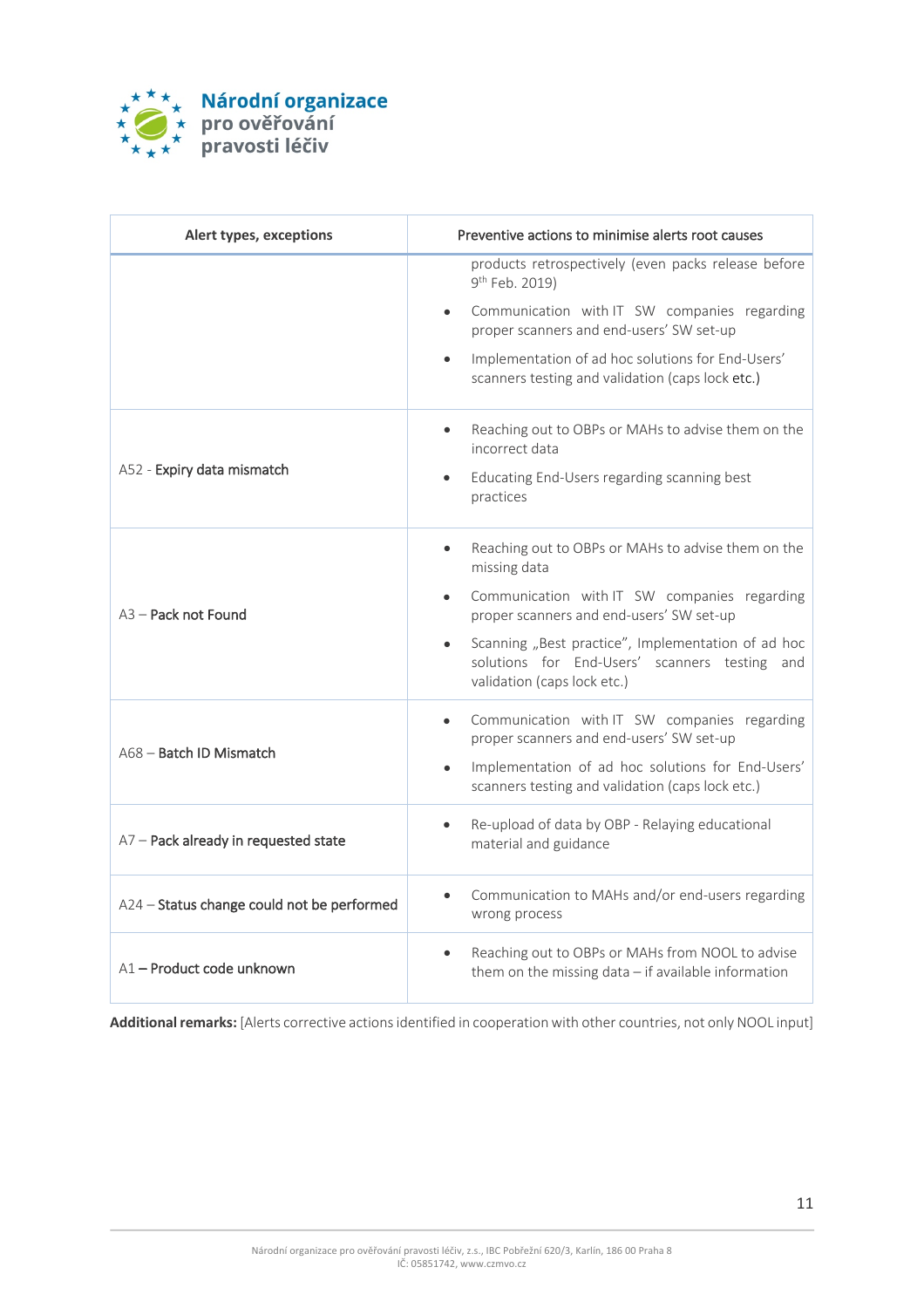

| Alert types, exceptions                    | Preventive actions to minimise alerts root causes                                                                                  |
|--------------------------------------------|------------------------------------------------------------------------------------------------------------------------------------|
|                                            | products retrospectively (even packs release before<br>9 <sup>th</sup> Feb. 2019)                                                  |
|                                            | Communication with IT SW companies regarding<br>proper scanners and end-users' SW set-up                                           |
|                                            | Implementation of ad hoc solutions for End-Users'<br>$\bullet$<br>scanners testing and validation (caps lock etc.)                 |
| A52 - Expiry data mismatch                 | Reaching out to OBPs or MAHs to advise them on the<br>incorrect data                                                               |
|                                            | Educating End-Users regarding scanning best<br>$\bullet$<br>practices                                                              |
| A <sub>3</sub> - Pack not Found            | Reaching out to OBPs or MAHs to advise them on the<br>$\bullet$<br>missing data                                                    |
|                                            | Communication with IT SW companies regarding<br>proper scanners and end-users' SW set-up                                           |
|                                            | Scanning "Best practice", Implementation of ad hoc<br>solutions for End-Users' scanners testing and<br>validation (caps lock etc.) |
| A68 - Batch ID Mismatch                    | Communication with IT SW companies regarding<br>proper scanners and end-users' SW set-up                                           |
|                                            | Implementation of ad hoc solutions for End-Users'<br>$\bullet$<br>scanners testing and validation (caps lock etc.)                 |
| A7 - Pack already in requested state       | Re-upload of data by OBP - Relaying educational<br>material and guidance                                                           |
| A24 - Status change could not be performed | Communication to MAHs and/or end-users regarding<br>wrong process                                                                  |
| A1-Product code unknown                    | Reaching out to OBPs or MAHs from NOOL to advise<br>them on the missing data $-$ if available information                          |

**Additional remarks:** [Alerts corrective actionsidentified in cooperation with other countries, not only NOOL input]